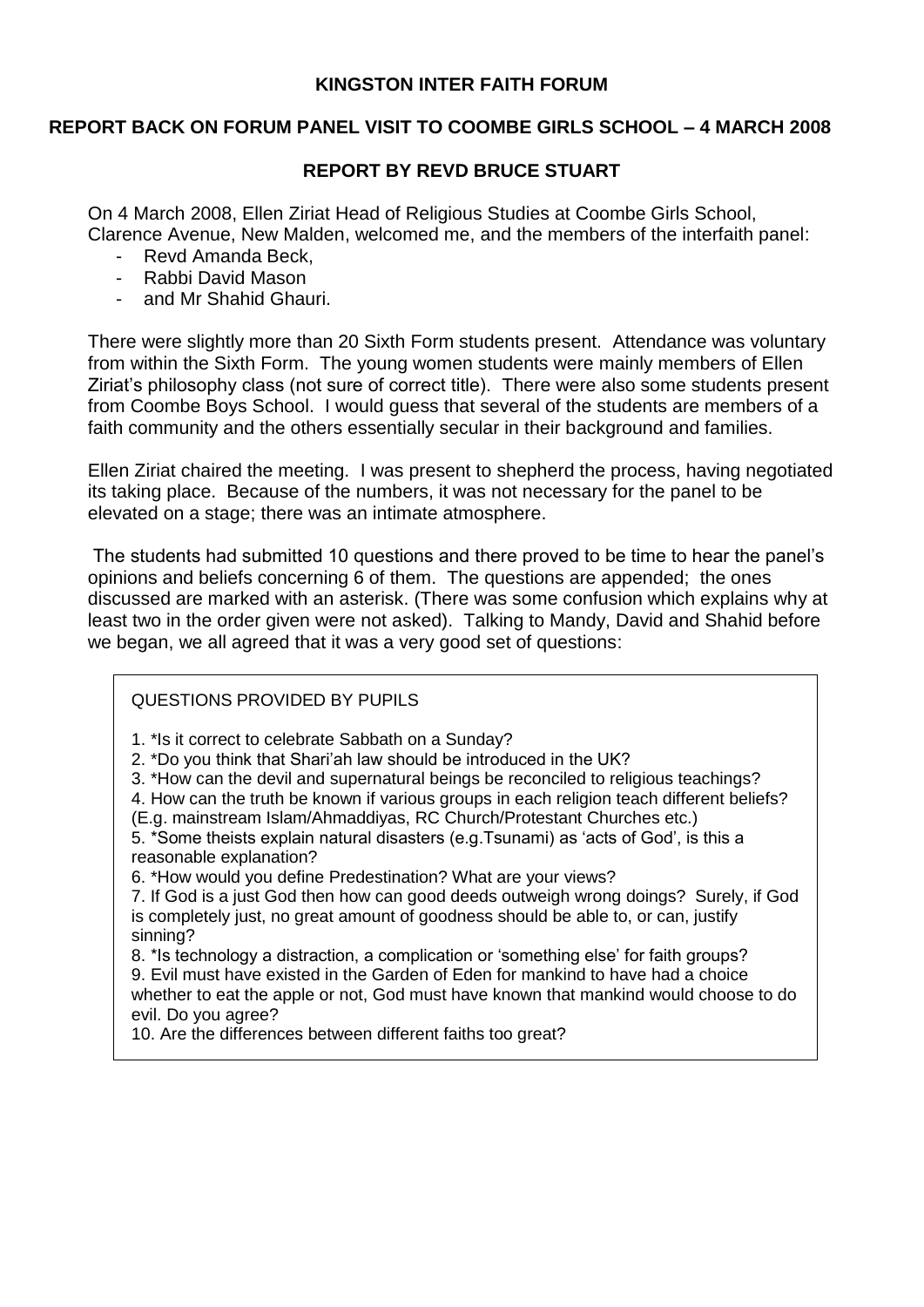## **KINGSTON INTER FAITH FORUM**

# **REPORT BACK ON FORUM PANEL VISIT TO COOMBE GIRLS SCHOOL – 4 MARCH 2008**

# **REPORT BY REVD BRUCE STUART**

On 4 March 2008, Ellen Ziriat Head of Religious Studies at Coombe Girls School, Clarence Avenue, New Malden, welcomed me, and the members of the interfaith panel:

- Revd Amanda Beck,
- Rabbi David Mason
- and Mr Shahid Ghauri.

There were slightly more than 20 Sixth Form students present. Attendance was voluntary from within the Sixth Form. The young women students were mainly members of Ellen Ziriat"s philosophy class (not sure of correct title). There were also some students present from Coombe Boys School. I would guess that several of the students are members of a faith community and the others essentially secular in their background and families.

Ellen Ziriat chaired the meeting. I was present to shepherd the process, having negotiated its taking place. Because of the numbers, it was not necessary for the panel to be elevated on a stage; there was an intimate atmosphere.

The students had submitted 10 questions and there proved to be time to hear the panel"s opinions and beliefs concerning 6 of them. The questions are appended; the ones discussed are marked with an asterisk. (There was some confusion which explains why at least two in the order given were not asked). Talking to Mandy, David and Shahid before we began, we all agreed that it was a very good set of questions:

#### QUESTIONS PROVIDED BY PUPILS

- 1. \*Is it correct to celebrate Sabbath on a Sunday?
- 2. \*Do you think that Shari"ah law should be introduced in the UK?
- 3. \*How can the devil and supernatural beings be reconciled to religious teachings?
- 4. How can the truth be known if various groups in each religion teach different beliefs?

(E.g. mainstream Islam/Ahmaddiyas, RC Church/Protestant Churches etc.)

5. \*Some theists explain natural disasters (e.g.Tsunami) as "acts of God", is this a reasonable explanation?

6. \*How would you define Predestination? What are your views?

7. If God is a just God then how can good deeds outweigh wrong doings? Surely, if God is completely just, no great amount of goodness should be able to, or can, justify sinning?

8. \*Is technology a distraction, a complication or "something else" for faith groups? 9. Evil must have existed in the Garden of Eden for mankind to have had a choice whether to eat the apple or not, God must have known that mankind would choose to do evil. Do you agree?

10. Are the differences between different faiths too great?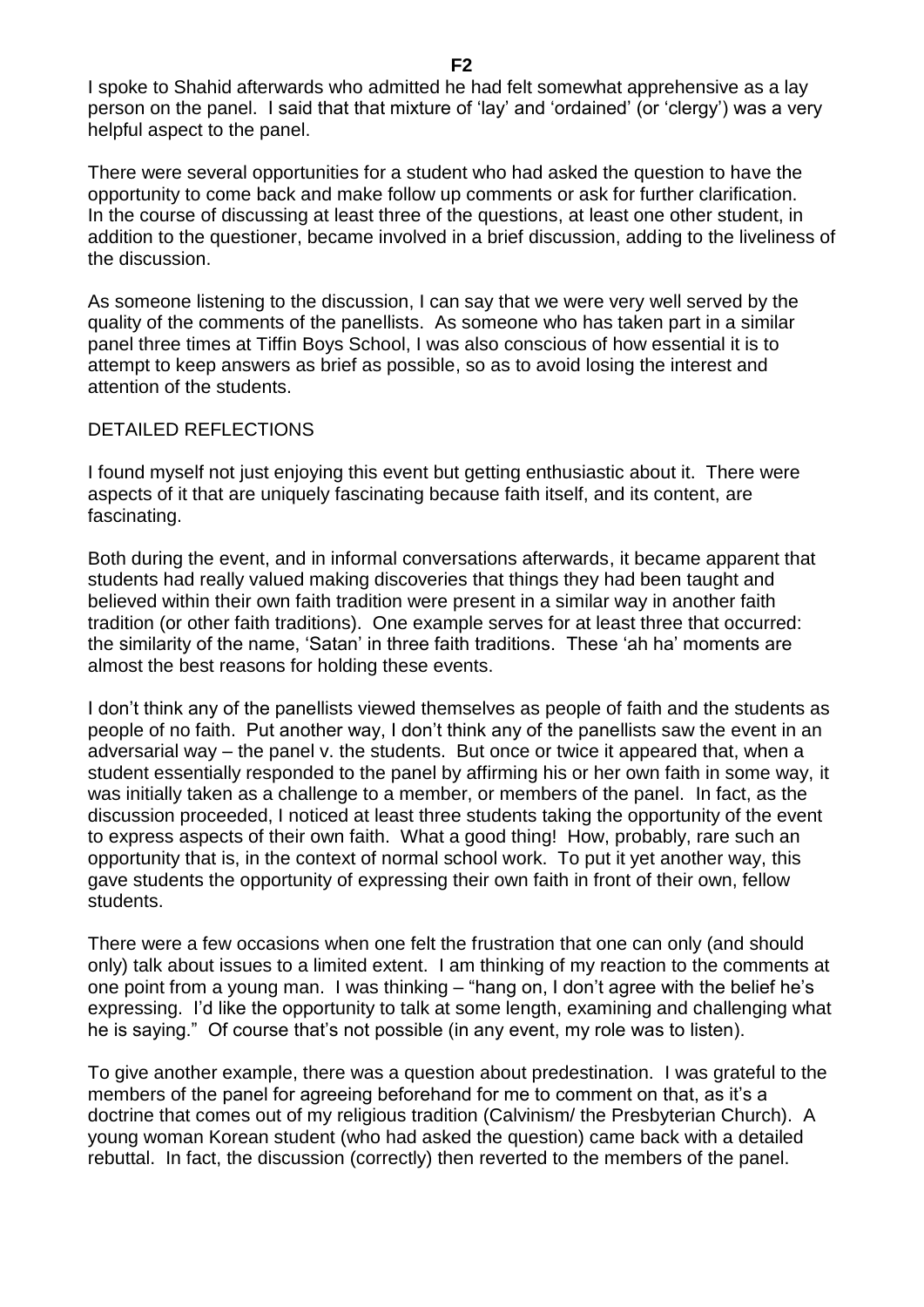I spoke to Shahid afterwards who admitted he had felt somewhat apprehensive as a lay person on the panel. I said that that mixture of "lay" and "ordained" (or "clergy") was a very helpful aspect to the panel.

There were several opportunities for a student who had asked the question to have the opportunity to come back and make follow up comments or ask for further clarification. In the course of discussing at least three of the questions, at least one other student, in addition to the questioner, became involved in a brief discussion, adding to the liveliness of the discussion.

As someone listening to the discussion, I can say that we were very well served by the quality of the comments of the panellists. As someone who has taken part in a similar panel three times at Tiffin Boys School, I was also conscious of how essential it is to attempt to keep answers as brief as possible, so as to avoid losing the interest and attention of the students.

## DETAILED REFLECTIONS

I found myself not just enjoying this event but getting enthusiastic about it. There were aspects of it that are uniquely fascinating because faith itself, and its content, are fascinating.

Both during the event, and in informal conversations afterwards, it became apparent that students had really valued making discoveries that things they had been taught and believed within their own faith tradition were present in a similar way in another faith tradition (or other faith traditions). One example serves for at least three that occurred: the similarity of the name, "Satan" in three faith traditions. These "ah ha" moments are almost the best reasons for holding these events.

I don"t think any of the panellists viewed themselves as people of faith and the students as people of no faith. Put another way, I don"t think any of the panellists saw the event in an adversarial way – the panel v. the students. But once or twice it appeared that, when a student essentially responded to the panel by affirming his or her own faith in some way, it was initially taken as a challenge to a member, or members of the panel. In fact, as the discussion proceeded, I noticed at least three students taking the opportunity of the event to express aspects of their own faith. What a good thing! How, probably, rare such an opportunity that is, in the context of normal school work. To put it yet another way, this gave students the opportunity of expressing their own faith in front of their own, fellow students.

There were a few occasions when one felt the frustration that one can only (and should only) talk about issues to a limited extent. I am thinking of my reaction to the comments at one point from a young man. I was thinking – "hang on, I don"t agree with the belief he"s expressing. I"d like the opportunity to talk at some length, examining and challenging what he is saying." Of course that's not possible (in any event, my role was to listen).

To give another example, there was a question about predestination. I was grateful to the members of the panel for agreeing beforehand for me to comment on that, as it's a doctrine that comes out of my religious tradition (Calvinism/ the Presbyterian Church). A young woman Korean student (who had asked the question) came back with a detailed rebuttal. In fact, the discussion (correctly) then reverted to the members of the panel.